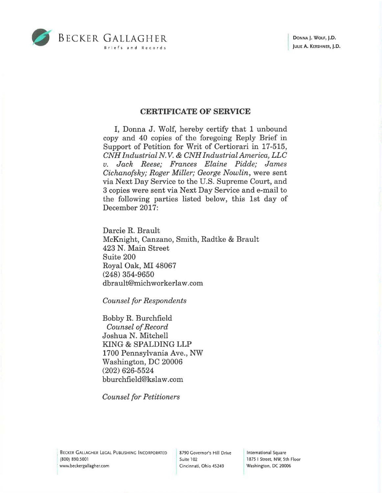

## CERTIFICATE OF SERVICE

I, Donna J. Wolf, hereby certify that 1 unbound copy and 40 copies of the foregoing Reply Brief in Support of Petition for Writ of Certiorari in 17-515, *CNH IndustrialN.V.* & *CNH IndustrialAmerica, LLC v. Jack Reese; Frances Elaine Pidde; James Cichanofsky; Roger Miller; George Nowlin,* were sent via Next Day Service to the U.S. Supreme Court, and 3 copies were sent via Next Day Service and e-mail to the following parties listed below, this 1st day of December 2017:

Darcie R. Brault McKnight, Canzano, Smith, Radtke & Brault 423 N. Main Street Suite 200 Royal Oak, MI 48067 (248) 354-9650 dbrault@michworkerlaw.com

*Counsel for Respondents* 

Bobby R. Burchfield *Counsel of Record*  Joshua N. Mitchell KING & SPALDING LLP 1700 Pennsylvania Ave., NW Washington, DC 20006 (202) 626-5524 bburchfield@kslaw .com

*Counsel for Petitioners* 

, BECKER GALLAGHER LEGAL PUBLISHING INCORPORATED (800) 890.5001 ' www.beckergallagher.com

8790 Governor's Hill Drive Suite 102 Cincinnati, Ohio 45249

International Square 1875 I Street, NW, 5th Floor Washington, DC 20006